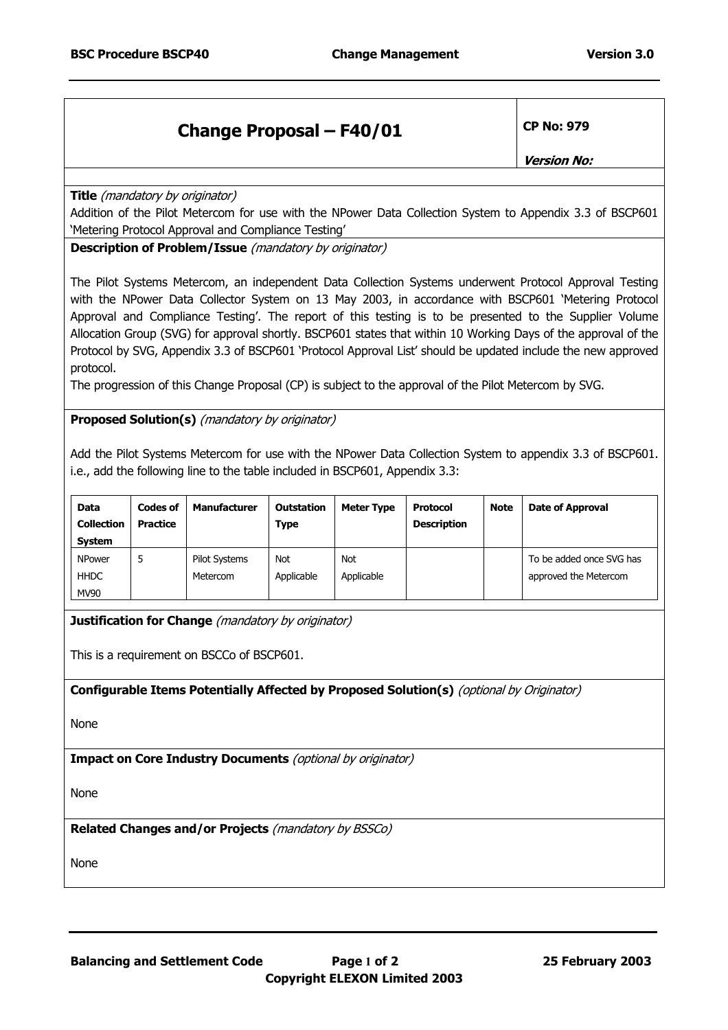## **Change Proposal – F40/01 CP No: 979**

**Version No:** 

**Title** (mandatory by originator)

Addition of the Pilot Metercom for use with the NPower Data Collection System to Appendix 3.3 of BSCP601 'Metering Protocol Approval and Compliance Testing'

**Description of Problem/Issue** (mandatory by originator)

The Pilot Systems Metercom, an independent Data Collection Systems underwent Protocol Approval Testing with the NPower Data Collector System on 13 May 2003, in accordance with BSCP601 'Metering Protocol Approval and Compliance Testing'. The report of this testing is to be presented to the Supplier Volume Allocation Group (SVG) for approval shortly. BSCP601 states that within 10 Working Days of the approval of the Protocol by SVG, Appendix 3.3 of BSCP601 'Protocol Approval List' should be updated include the new approved protocol.

The progression of this Change Proposal (CP) is subject to the approval of the Pilot Metercom by SVG.

**Proposed Solution(s)** (mandatory by originator)

Add the Pilot Systems Metercom for use with the NPower Data Collection System to appendix 3.3 of BSCP601. i.e., add the following line to the table included in BSCP601, Appendix 3.3:

| <b>Data</b><br><b>Collection</b><br><b>System</b> | <b>Codes of</b><br>Practice | <b>Manufacturer</b>              | <b>Outstation</b><br>Type | <b>Meter Type</b> | <b>Protocol</b><br><b>Description</b> | <b>Note</b> | <b>Date of Approval</b>                           |
|---------------------------------------------------|-----------------------------|----------------------------------|---------------------------|-------------------|---------------------------------------|-------------|---------------------------------------------------|
| <b>NPower</b><br><b>HHDC</b><br><b>MV90</b>       | 5                           | <b>Pilot Systems</b><br>Metercom | <b>Not</b><br>Applicable  | Not<br>Applicable |                                       |             | To be added once SVG has<br>approved the Metercom |

**Justification for Change** (mandatory by originator)

This is a requirement on BSCCo of BSCP601.

**Configurable Items Potentially Affected by Proposed Solution(s)** (optional by Originator)

None

**Impact on Core Industry Documents** (optional by originator)

None

**Related Changes and/or Projects** (mandatory by BSSCo)

None